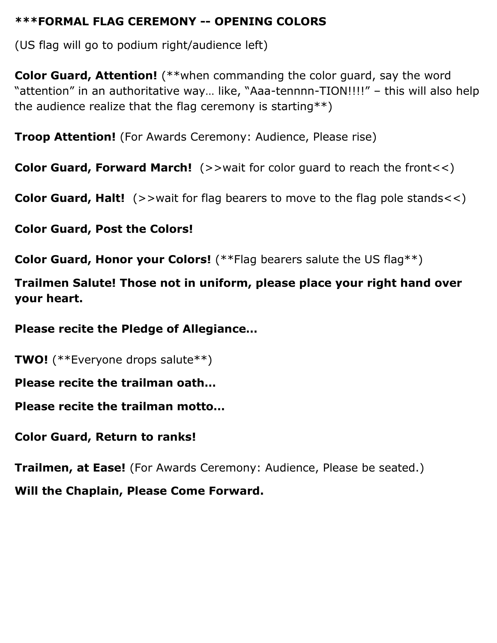## **\*\*\*FORMAL FLAG CEREMONY -- OPENING COLORS**

(US flag will go to podium right/audience left)

**Color Guard, Attention!** (\*\*when commanding the color guard, say the word "attention" in an authoritative way… like, "Aaa-tennnn-TION!!!!" – this will also help the audience realize that the flag ceremony is starting\*\*)

**Troop Attention!** (For Awards Ceremony: Audience, Please rise)

**Color Guard, Forward March!** (>>wait for color guard to reach the front<<)

**Color Guard, Halt!** (>>wait for flag bearers to move to the flag pole stands<<)

**Color Guard, Post the Colors!**

**Color Guard, Honor your Colors!** (\*\*Flag bearers salute the US flag\*\*)

**Trailmen Salute! Those not in uniform, please place your right hand over your heart.**

**Please recite the Pledge of Allegiance…**

**TWO!** (\*\*Everyone drops salute\*\*)

**Please recite the trailman oath…**

**Please recite the trailman motto…**

**Color Guard, Return to ranks!**

**Trailmen, at Ease!** (For Awards Ceremony: Audience, Please be seated.) **Will the Chaplain, Please Come Forward.**